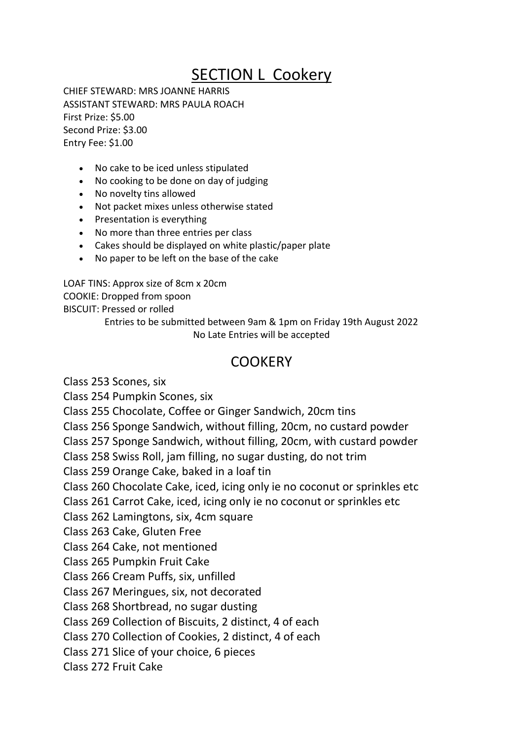## SECTION L Cookery

CHIEF STEWARD: MRS JOANNE HARRIS ASSISTANT STEWARD: MRS PAULA ROACH First Prize: \$5.00 Second Prize: \$3.00 Entry Fee: \$1.00

- No cake to be iced unless stipulated
- No cooking to be done on day of judging
- No novelty tins allowed
- Not packet mixes unless otherwise stated
- Presentation is everything
- No more than three entries per class
- Cakes should be displayed on white plastic/paper plate
- No paper to be left on the base of the cake

LOAF TINS: Approx size of 8cm x 20cm COOKIE: Dropped from spoon BISCUIT: Pressed or rolled

Entries to be submitted between 9am & 1pm on Friday 19th August 2022 No Late Entries will be accepted

## **COOKERY**

Class 253 Scones, six

Class 254 Pumpkin Scones, six

Class 255 Chocolate, Coffee or Ginger Sandwich, 20cm tins

Class 256 Sponge Sandwich, without filling, 20cm, no custard powder

Class 257 Sponge Sandwich, without filling, 20cm, with custard powder

Class 258 Swiss Roll, jam filling, no sugar dusting, do not trim

Class 259 Orange Cake, baked in a loaf tin

Class 260 Chocolate Cake, iced, icing only ie no coconut or sprinkles etc

Class 261 Carrot Cake, iced, icing only ie no coconut or sprinkles etc

Class 262 Lamingtons, six, 4cm square

Class 263 Cake, Gluten Free

Class 264 Cake, not mentioned

Class 265 Pumpkin Fruit Cake

Class 266 Cream Puffs, six, unfilled

Class 267 Meringues, six, not decorated

Class 268 Shortbread, no sugar dusting

Class 269 Collection of Biscuits, 2 distinct, 4 of each

Class 270 Collection of Cookies, 2 distinct, 4 of each

Class 271 Slice of your choice, 6 pieces

Class 272 Fruit Cake